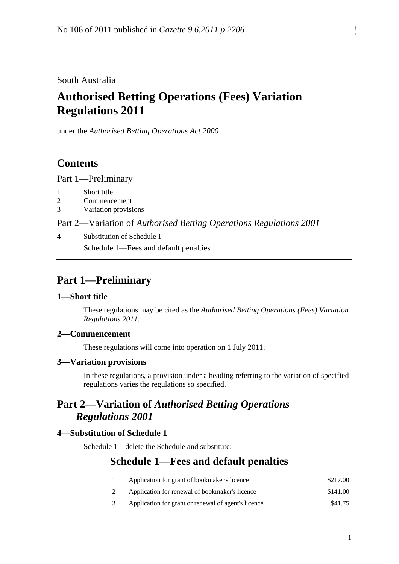<span id="page-0-0"></span>South Australia

# **Authorised Betting Operations (Fees) Variation Regulations 2011**

under the *Authorised Betting Operations Act 2000*

## **Contents**

[Part 1—Preliminary](#page-0-0)

- [1 Short title](#page-0-0)
- [2 Commencement](#page-0-0)
- [3 Variation provisions](#page-0-0)

Part 2—Variation of *[Authorised Betting Operations Regulations 2001](#page-0-0)*

[4 Substitution of Schedule 1](#page-0-0) [Schedule 1—Fees and default penalties](#page-0-0)

# **Part 1—Preliminary**

#### **1—Short title**

These regulations may be cited as the *Authorised Betting Operations (Fees) Variation Regulations 2011*.

### **2—Commencement**

These regulations will come into operation on 1 July 2011.

### **3—Variation provisions**

In these regulations, a provision under a heading referring to the variation of specified regulations varies the regulations so specified.

## **Part 2—Variation of** *Authorised Betting Operations Regulations 2001*

### **4—Substitution of Schedule 1**

Schedule 1—delete the Schedule and substitute:

### **Schedule 1—Fees and default penalties**

- 1 Application for grant of bookmaker's licence \$217.00 2 Application for renewal of bookmaker's licence \$141.00
- 
- 3 Application for grant or renewal of agent's licence \$41.75